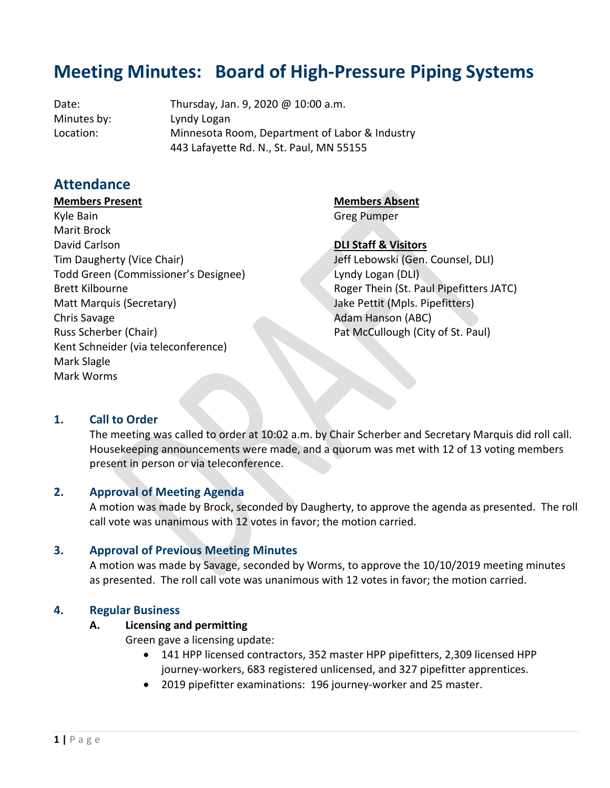# **Meeting Minutes: Board of High-Pressure Piping Systems**

Date: Thursday, Jan. 9, 2020 @ 10:00 a.m. Minutes by: Lyndy Logan Location: Minnesota Room, Department of Labor & Industry 443 Lafayette Rd. N., St. Paul, MN 55155

# **Attendance**

#### **Members Present**

**Members Absent** Greg Pumper

Kyle Bain Marit Brock David Carlson Tim Daugherty (Vice Chair) Todd Green (Commissioner's Designee) Brett Kilbourne Matt Marquis (Secretary) Chris Savage Russ Scherber (Chair) Kent Schneider (via teleconference) Mark Slagle Mark Worms

**DLI Staff & Visitors**

Jeff Lebowski (Gen. Counsel, DLI) Lyndy Logan (DLI) Roger Thein (St. Paul Pipefitters JATC) Jake Pettit (Mpls. Pipefitters) Adam Hanson (ABC) Pat McCullough (City of St. Paul)

# **1. Call to Order**

The meeting was called to order at 10:02 a.m. by Chair Scherber and Secretary Marquis did roll call. Housekeeping announcements were made, and a quorum was met with 12 of 13 voting members present in person or via teleconference.

# **2. Approval of Meeting Agenda**

A motion was made by Brock, seconded by Daugherty, to approve the agenda as presented. The roll call vote was unanimous with 12 votes in favor; the motion carried.

#### **3. Approval of Previous Meeting Minutes**

A motion was made by Savage, seconded by Worms, to approve the 10/10/2019 meeting minutes as presented. The roll call vote was unanimous with 12 votes in favor; the motion carried.

#### **4. Regular Business**

#### **A. Licensing and permitting**

Green gave a licensing update:

- 141 HPP licensed contractors, 352 master HPP pipefitters, 2,309 licensed HPP journey-workers, 683 registered unlicensed, and 327 pipefitter apprentices.
- 2019 pipefitter examinations: 196 journey-worker and 25 master.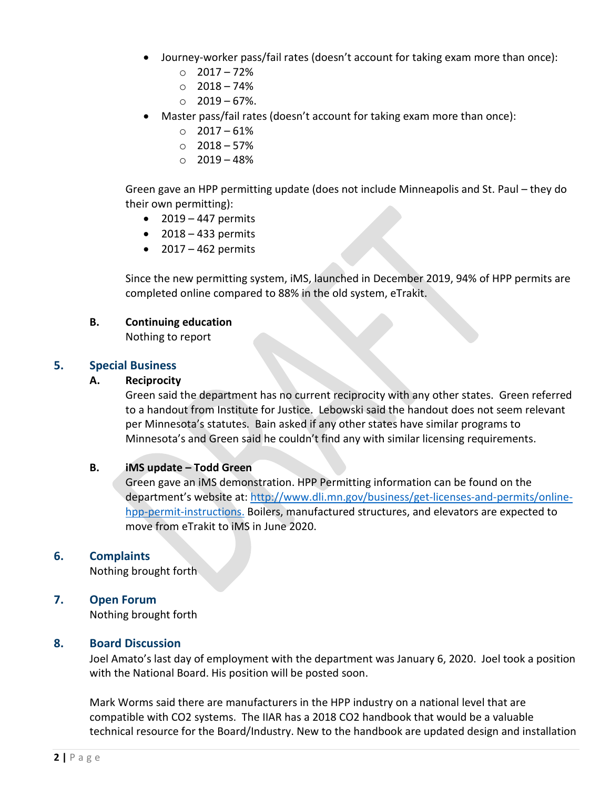- Journey-worker pass/fail rates (doesn't account for taking exam more than once):
	- $O$  2017 72%
	- $\circ$  2018 74%
	- $\circ$  2019 67%.
- Master pass/fail rates (doesn't account for taking exam more than once):
	- $\circ$  2017 61%
	- $\circ$  2018 57%
	- $\circ$  2019 48%

Green gave an HPP permitting update (does not include Minneapolis and St. Paul – they do their own permitting):

- $\bullet$  2019 447 permits
- $\bullet$  2018 433 permits
- $\bullet$  2017 462 permits

Since the new permitting system, iMS, launched in December 2019, 94% of HPP permits are completed online compared to 88% in the old system, eTrakit.

#### **B. Continuing education**

Nothing to report

# **5. Special Business**

#### **A. Reciprocity**

Green said the department has no current reciprocity with any other states. Green referred to a handout from Institute for Justice. Lebowski said the handout does not seem relevant per Minnesota's statutes. Bain asked if any other states have similar programs to Minnesota's and Green said he couldn't find any with similar licensing requirements.

#### **B. iMS update – Todd Green**

Green gave an iMS demonstration. HPP Permitting information can be found on the department's website at: [http://www.dli.mn.gov/business/get-licenses-and-permits/online](http://www.dli.mn.gov/business/get-licenses-and-permits/online-hpp-permit-instructions.B)[hpp-permit-instructions.](http://www.dli.mn.gov/business/get-licenses-and-permits/online-hpp-permit-instructions.B) Boilers, manufactured structures, and elevators are expected to move from eTrakit to iMS in June 2020.

# **6. Complaints**

Nothing brought forth

# **7. Open Forum**

Nothing brought forth

#### **8. Board Discussion**

Joel Amato's last day of employment with the department was January 6, 2020. Joel took a position with the National Board. His position will be posted soon.

Mark Worms said there are manufacturers in the HPP industry on a national level that are compatible with CO2 systems. The IIAR has a 2018 CO2 handbook that would be a valuable technical resource for the Board/Industry. New to the handbook are updated design and installation